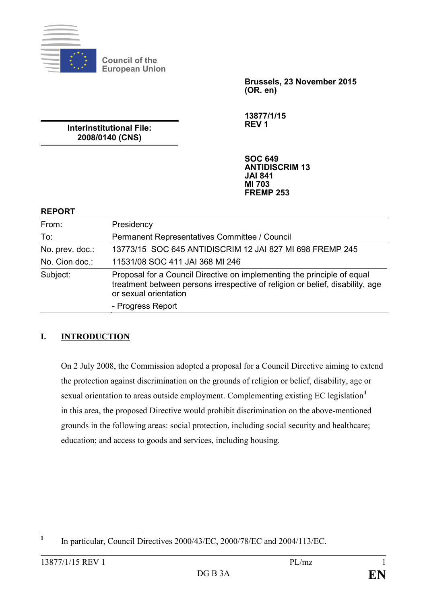

**Council of the European Union**

> **Brussels, 23 November 2015 (OR. en)**

**13877/1/15 REV 1**

**Interinstitutional File: 2008/0140 (CNS)**

> **SOC 649 ANTIDISCRIM 13 JAI 841 MI 703 FREMP 253**

### **REPORT**

| From:           | Presidency                                                                                                                                                                        |
|-----------------|-----------------------------------------------------------------------------------------------------------------------------------------------------------------------------------|
| To:             | Permanent Representatives Committee / Council                                                                                                                                     |
| No. prev. doc.: | 13773/15 SOC 645 ANTIDISCRIM 12 JAI 827 MI 698 FREMP 245                                                                                                                          |
| No. Cion doc.:  | 11531/08 SOC 411 JAI 368 MI 246                                                                                                                                                   |
| Subject:        | Proposal for a Council Directive on implementing the principle of equal<br>treatment between persons irrespective of religion or belief, disability, age<br>or sexual orientation |
|                 | - Progress Report                                                                                                                                                                 |

### **I. INTRODUCTION**

On 2 July 2008, the Commission adopted a proposal for a Council Directive aiming to extend the protection against discrimination on the grounds of religion or belief, disability, age or sexual orientation to areas outside employment. Complementing existing EC legislation**[1](#page-0-0)** in this area, the proposed Directive would prohibit discrimination on the above-mentioned grounds in the following areas: social protection, including social security and healthcare; education; and access to goods and services, including housing.

<span id="page-0-0"></span><sup>&</sup>lt;sup>1</sup> In particular, Council Directives 2000/43/EC, 2000/78/EC and 2004/113/EC.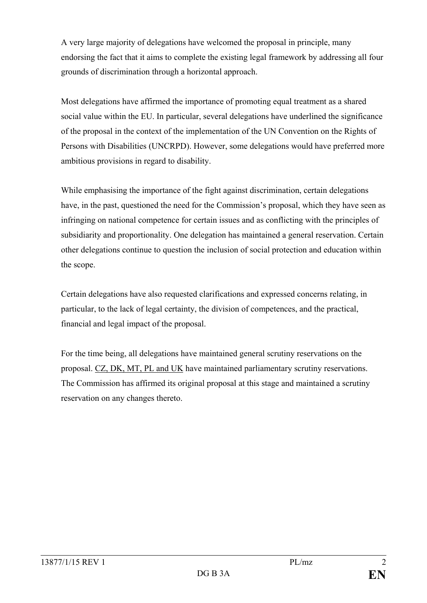A very large majority of delegations have welcomed the proposal in principle, many endorsing the fact that it aims to complete the existing legal framework by addressing all four grounds of discrimination through a horizontal approach.

Most delegations have affirmed the importance of promoting equal treatment as a shared social value within the EU. In particular, several delegations have underlined the significance of the proposal in the context of the implementation of the UN Convention on the Rights of Persons with Disabilities (UNCRPD). However, some delegations would have preferred more ambitious provisions in regard to disability.

While emphasising the importance of the fight against discrimination, certain delegations have, in the past, questioned the need for the Commission's proposal, which they have seen as infringing on national competence for certain issues and as conflicting with the principles of subsidiarity and proportionality. One delegation has maintained a general reservation. Certain other delegations continue to question the inclusion of social protection and education within the scope.

Certain delegations have also requested clarifications and expressed concerns relating, in particular, to the lack of legal certainty, the division of competences, and the practical, financial and legal impact of the proposal.

For the time being, all delegations have maintained general scrutiny reservations on the proposal. CZ, DK, MT, PL and UK have maintained parliamentary scrutiny reservations. The Commission has affirmed its original proposal at this stage and maintained a scrutiny reservation on any changes thereto.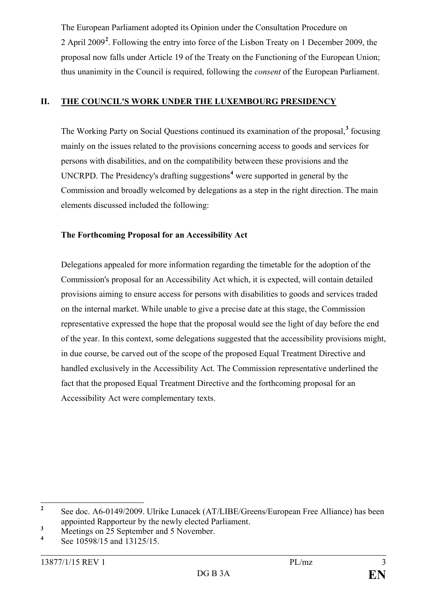The European Parliament adopted its Opinion under the Consultation Procedure on 2 April 2009**[2](#page-2-0)** . Following the entry into force of the Lisbon Treaty on 1 December 2009, the proposal now falls under Article 19 of the Treaty on the Functioning of the European Union; thus unanimity in the Council is required, following the *consent* of the European Parliament.

# **II. THE COUNCIL'S WORK UNDER THE LUXEMBOURG PRESIDENCY**

The Working Party on Social Questions continued its examination of the proposal,**[3](#page-2-1)** focusing mainly on the issues related to the provisions concerning access to goods and services for persons with disabilities, and on the compatibility between these provisions and the UNCRPD. The Presidency's drafting suggestions**[4](#page-2-2)** were supported in general by the Commission and broadly welcomed by delegations as a step in the right direction. The main elements discussed included the following:

### **The Forthcoming Proposal for an Accessibility Act**

Delegations appealed for more information regarding the timetable for the adoption of the Commission's proposal for an Accessibility Act which, it is expected, will contain detailed provisions aiming to ensure access for persons with disabilities to goods and services traded on the internal market. While unable to give a precise date at this stage, the Commission representative expressed the hope that the proposal would see the light of day before the end of the year. In this context, some delegations suggested that the accessibility provisions might, in due course, be carved out of the scope of the proposed Equal Treatment Directive and handled exclusively in the Accessibility Act. The Commission representative underlined the fact that the proposed Equal Treatment Directive and the forthcoming proposal for an Accessibility Act were complementary texts.

<span id="page-2-0"></span><sup>&</sup>lt;sup>2</sup> See doc. A6-0149/2009. Ulrike Lunacek (AT/LIBE/Greens/European Free Alliance) has been appointed Rapporteur by the newly elected Parliament.

<span id="page-2-1"></span> $\frac{3}{4}$  Meetings on 25 September and 5 November.

<span id="page-2-2"></span>**<sup>4</sup>** See 10598/15 and 13125/15.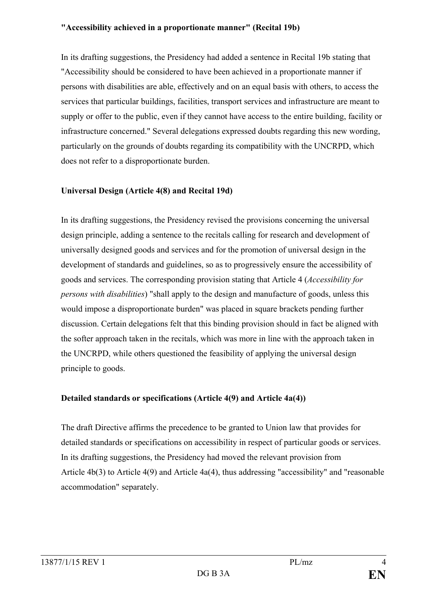#### **"Accessibility achieved in a proportionate manner" (Recital 19b)**

In its drafting suggestions, the Presidency had added a sentence in Recital 19b stating that "Accessibility should be considered to have been achieved in a proportionate manner if persons with disabilities are able, effectively and on an equal basis with others, to access the services that particular buildings, facilities, transport services and infrastructure are meant to supply or offer to the public, even if they cannot have access to the entire building, facility or infrastructure concerned." Several delegations expressed doubts regarding this new wording, particularly on the grounds of doubts regarding its compatibility with the UNCRPD, which does not refer to a disproportionate burden.

### **Universal Design (Article 4(8) and Recital 19d)**

In its drafting suggestions, the Presidency revised the provisions concerning the universal design principle, adding a sentence to the recitals calling for research and development of universally designed goods and services and for the promotion of universal design in the development of standards and guidelines, so as to progressively ensure the accessibility of goods and services. The corresponding provision stating that Article 4 (*Accessibility for persons with disabilities*) "shall apply to the design and manufacture of goods, unless this would impose a disproportionate burden" was placed in square brackets pending further discussion. Certain delegations felt that this binding provision should in fact be aligned with the softer approach taken in the recitals, which was more in line with the approach taken in the UNCRPD, while others questioned the feasibility of applying the universal design principle to goods.

### **Detailed standards or specifications (Article 4(9) and Article 4a(4))**

The draft Directive affirms the precedence to be granted to Union law that provides for detailed standards or specifications on accessibility in respect of particular goods or services. In its drafting suggestions, the Presidency had moved the relevant provision from Article 4b(3) to Article 4(9) and Article 4a(4), thus addressing "accessibility" and "reasonable accommodation" separately.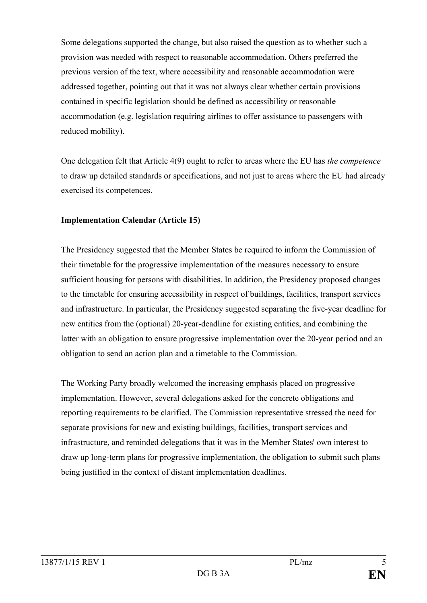Some delegations supported the change, but also raised the question as to whether such a provision was needed with respect to reasonable accommodation. Others preferred the previous version of the text, where accessibility and reasonable accommodation were addressed together, pointing out that it was not always clear whether certain provisions contained in specific legislation should be defined as accessibility or reasonable accommodation (e.g. legislation requiring airlines to offer assistance to passengers with reduced mobility).

One delegation felt that Article 4(9) ought to refer to areas where the EU has *the competence* to draw up detailed standards or specifications, and not just to areas where the EU had already exercised its competences.

### **Implementation Calendar (Article 15)**

The Presidency suggested that the Member States be required to inform the Commission of their timetable for the progressive implementation of the measures necessary to ensure sufficient housing for persons with disabilities. In addition, the Presidency proposed changes to the timetable for ensuring accessibility in respect of buildings, facilities, transport services and infrastructure. In particular, the Presidency suggested separating the five-year deadline for new entities from the (optional) 20-year-deadline for existing entities, and combining the latter with an obligation to ensure progressive implementation over the 20-year period and an obligation to send an action plan and a timetable to the Commission.

The Working Party broadly welcomed the increasing emphasis placed on progressive implementation. However, several delegations asked for the concrete obligations and reporting requirements to be clarified. The Commission representative stressed the need for separate provisions for new and existing buildings, facilities, transport services and infrastructure, and reminded delegations that it was in the Member States' own interest to draw up long-term plans for progressive implementation, the obligation to submit such plans being justified in the context of distant implementation deadlines.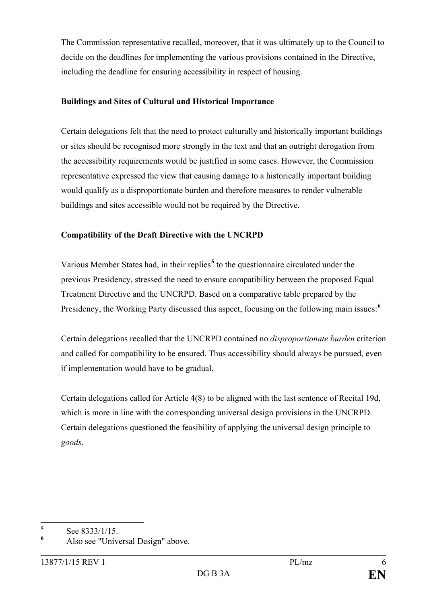The Commission representative recalled, moreover, that it was ultimately up to the Council to decide on the deadlines for implementing the various provisions contained in the Directive, including the deadline for ensuring accessibility in respect of housing.

### **Buildings and Sites of Cultural and Historical Importance**

Certain delegations felt that the need to protect culturally and historically important buildings or sites should be recognised more strongly in the text and that an outright derogation from the accessibility requirements would be justified in some cases. However, the Commission representative expressed the view that causing damage to a historically important building would qualify as a disproportionate burden and therefore measures to render vulnerable buildings and sites accessible would not be required by the Directive.

# **Compatibility of the Draft Directive with the UNCRPD**

Various Member States had, in their replies**[5](#page-5-0)** to the questionnaire circulated under the previous Presidency, stressed the need to ensure compatibility between the proposed Equal Treatment Directive and the UNCRPD. Based on a comparative table prepared by the Presidency, the Working Party discussed this aspect, focusing on the following main issues:**[6](#page-5-1)**

Certain delegations recalled that the UNCRPD contained no *disproportionate burden* criterion and called for compatibility to be ensured. Thus accessibility should always be pursued, even if implementation would have to be gradual.

Certain delegations called for Article 4(8) to be aligned with the last sentence of Recital 19d, which is more in line with the corresponding universal design provisions in the UNCRPD. Certain delegations questioned the feasibility of applying the universal design principle to *goods*.

<span id="page-5-0"></span> $5$  See 8333/1/15.

<span id="page-5-1"></span>**<sup>6</sup>** Also see "Universal Design" above.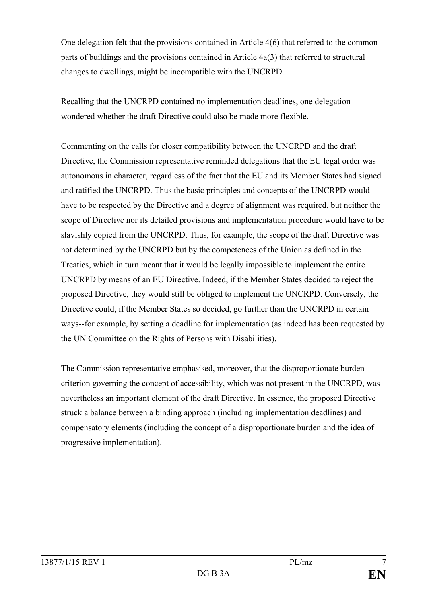One delegation felt that the provisions contained in Article 4(6) that referred to the common parts of buildings and the provisions contained in Article 4a(3) that referred to structural changes to dwellings, might be incompatible with the UNCRPD.

Recalling that the UNCRPD contained no implementation deadlines, one delegation wondered whether the draft Directive could also be made more flexible.

Commenting on the calls for closer compatibility between the UNCRPD and the draft Directive, the Commission representative reminded delegations that the EU legal order was autonomous in character, regardless of the fact that the EU and its Member States had signed and ratified the UNCRPD. Thus the basic principles and concepts of the UNCRPD would have to be respected by the Directive and a degree of alignment was required, but neither the scope of Directive nor its detailed provisions and implementation procedure would have to be slavishly copied from the UNCRPD. Thus, for example, the scope of the draft Directive was not determined by the UNCRPD but by the competences of the Union as defined in the Treaties, which in turn meant that it would be legally impossible to implement the entire UNCRPD by means of an EU Directive. Indeed, if the Member States decided to reject the proposed Directive, they would still be obliged to implement the UNCRPD. Conversely, the Directive could, if the Member States so decided, go further than the UNCRPD in certain ways--for example, by setting a deadline for implementation (as indeed has been requested by the UN Committee on the Rights of Persons with Disabilities).

The Commission representative emphasised, moreover, that the disproportionate burden criterion governing the concept of accessibility, which was not present in the UNCRPD, was nevertheless an important element of the draft Directive. In essence, the proposed Directive struck a balance between a binding approach (including implementation deadlines) and compensatory elements (including the concept of a disproportionate burden and the idea of progressive implementation).